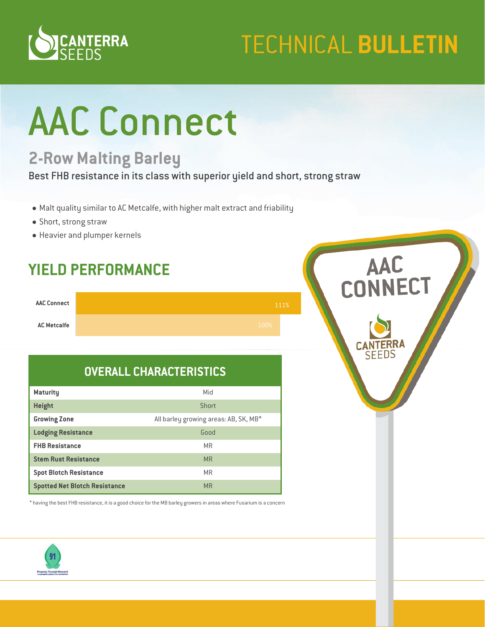

# **TECHNICAL BULLETIN**

# AAC Connect

## **2-Row Malting Barley**

Best FHB resistance in its class with superior yield and short, strong straw

- Malt quality similar to AC Metcalfe, with higher malt extract and friability
- Short, strong straw
- Heavier and plumper kernels

### **YIELD PERFORMANCE**

| <b>AAC Connect</b> |      | 111% |
|--------------------|------|------|
| <b>AC Metcalfe</b> | 100% |      |

#### **OVERALL CHARACTERISTICS**

| <b>Maturity</b>                      | Mid                                   |
|--------------------------------------|---------------------------------------|
| <b>Height</b>                        | Short                                 |
| <b>Growing Zone</b>                  | All barley growing areas: AB, SK, MB* |
| <b>Lodging Resistance</b>            | Good                                  |
| <b>FHB Resistance</b>                | <b>MR</b>                             |
| <b>Stem Rust Resistance</b>          | <b>MR</b>                             |
| <b>Spot Blotch Resistance</b>        | <b>MR</b>                             |
| <b>Spotted Net Blotch Resistance</b> | <b>MR</b>                             |

\* having the best FHB resistance, it is a good choice for the MB barley growers in areas where Fusarium is a concern